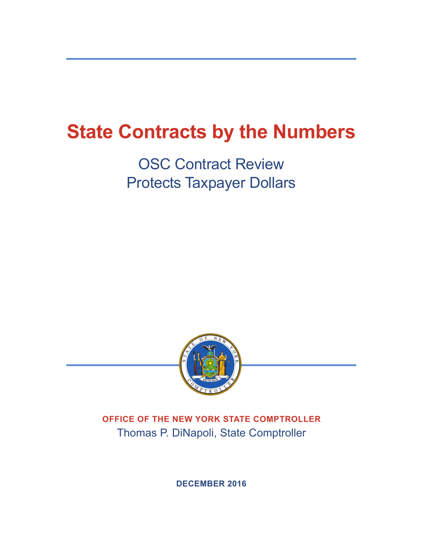# **State Contracts by the Numbers**

OSC Contract Review Protects Taxpayer Dollars



**OFFICE OF THE NEW YORK STATE COMPTROLLER** Thomas P. DiNapoli, State Comptroller

**DECEMBER 2016**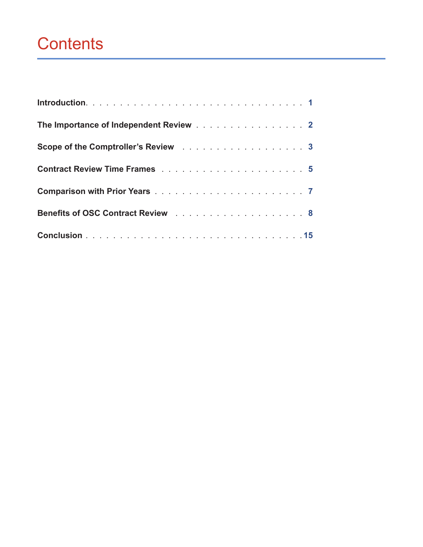# **Contents**

| The Importance of Independent Review 2 |  |
|----------------------------------------|--|
| Scope of the Comptroller's Review 3    |  |
|                                        |  |
|                                        |  |
| Benefits of OSC Contract Review 8      |  |
|                                        |  |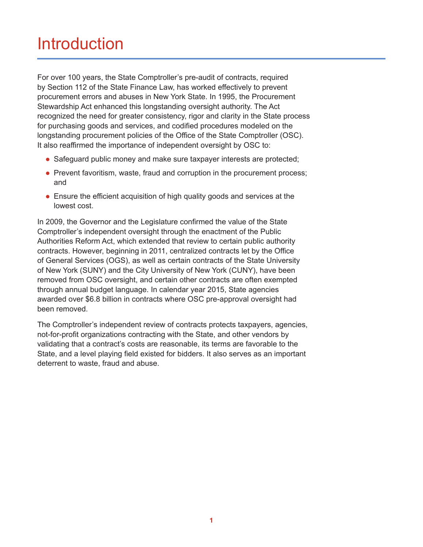## Introduction

For over 100 years, the State Comptroller's pre-audit of contracts, required by Section 112 of the State Finance Law, has worked effectively to prevent procurement errors and abuses in New York State. In 1995, the Procurement Stewardship Act enhanced this longstanding oversight authority. The Act recognized the need for greater consistency, rigor and clarity in the State process for purchasing goods and services, and codified procedures modeled on the longstanding procurement policies of the Office of the State Comptroller (OSC). It also reaffirmed the importance of independent oversight by OSC to:

- Safeguard public money and make sure taxpayer interests are protected;
- Prevent favoritism, waste, fraud and corruption in the procurement process; and
- Ensure the efficient acquisition of high quality goods and services at the lowest cost.

In 2009, the Governor and the Legislature confirmed the value of the State Comptroller's independent oversight through the enactment of the Public Authorities Reform Act, which extended that review to certain public authority contracts. However, beginning in 2011, centralized contracts let by the Office of General Services (OGS), as well as certain contracts of the State University of New York (SUNY) and the City University of New York (CUNY), have been removed from OSC oversight, and certain other contracts are often exempted through annual budget language. In calendar year 2015, State agencies awarded over \$6.8 billion in contracts where OSC pre-approval oversight had been removed.

The Comptroller's independent review of contracts protects taxpayers, agencies, not-for-profit organizations contracting with the State, and other vendors by validating that a contract's costs are reasonable, its terms are favorable to the State, and a level playing field existed for bidders. It also serves as an important deterrent to waste, fraud and abuse.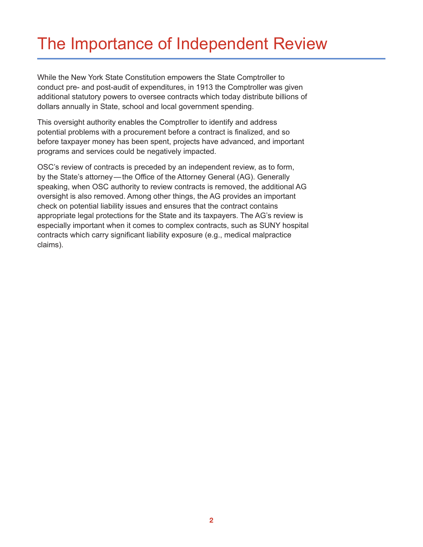## The Importance of Independent Review

While the New York State Constitution empowers the State Comptroller to conduct pre- and post-audit of expenditures, in 1913 the Comptroller was given additional statutory powers to oversee contracts which today distribute billions of dollars annually in State, school and local government spending.

This oversight authority enables the Comptroller to identify and address potential problems with a procurement before a contract is finalized, and so before taxpayer money has been spent, projects have advanced, and important programs and services could be negatively impacted.

OSC's review of contracts is preceded by an independent review, as to form, by the State's attorney—the Office of the Attorney General (AG). Generally speaking, when OSC authority to review contracts is removed, the additional AG oversight is also removed. Among other things, the AG provides an important check on potential liability issues and ensures that the contract contains appropriate legal protections for the State and its taxpayers. The AG's review is especially important when it comes to complex contracts, such as SUNY hospital contracts which carry significant liability exposure (e.g., medical malpractice claims).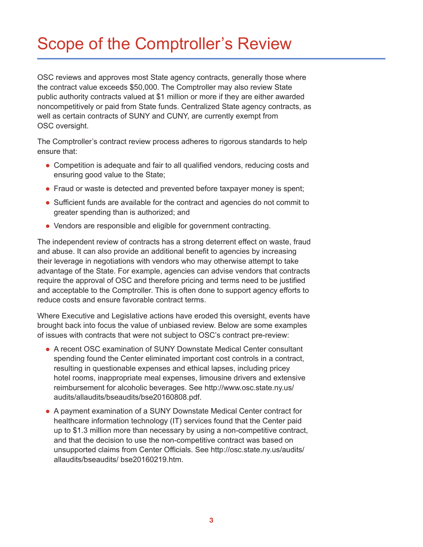# Scope of the Comptroller's Review

OSC reviews and approves most State agency contracts, generally those where the contract value exceeds \$50,000. The Comptroller may also review State public authority contracts valued at \$1 million or more if they are either awarded noncompetitively or paid from State funds. Centralized State agency contracts, as well as certain contracts of SUNY and CUNY, are currently exempt from OSC oversight.

The Comptroller's contract review process adheres to rigorous standards to help ensure that:

- Competition is adequate and fair to all qualified vendors, reducing costs and ensuring good value to the State;
- Fraud or waste is detected and prevented before taxpayer money is spent;
- Sufficient funds are available for the contract and agencies do not commit to greater spending than is authorized; and
- Vendors are responsible and eligible for government contracting.

The independent review of contracts has a strong deterrent effect on waste, fraud and abuse. It can also provide an additional benefit to agencies by increasing their leverage in negotiations with vendors who may otherwise attempt to take advantage of the State. For example, agencies can advise vendors that contracts require the approval of OSC and therefore pricing and terms need to be justified and acceptable to the Comptroller. This is often done to support agency efforts to reduce costs and ensure favorable contract terms.

Where Executive and Legislative actions have eroded this oversight, events have brought back into focus the value of unbiased review. Below are some examples of issues with contracts that were not subject to OSC's contract pre-review:

- A recent OSC examination of SUNY Downstate Medical Center consultant spending found the Center eliminated important cost controls in a contract, resulting in questionable expenses and ethical lapses, including pricey hotel rooms, inappropriate meal expenses, limousine drivers and extensive reimbursement for alcoholic beverages. See http://www.osc.state.ny.us/ audits/allaudits/bseaudits/bse20160808.pdf.
- A payment examination of a SUNY Downstate Medical Center contract for healthcare information technology (IT) services found that the Center paid up to \$1.3 million more than necessary by using a non-competitive contract, and that the decision to use the non-competitive contract was based on unsupported claims from Center Officials. See http://osc.state.ny.us/audits/ allaudits/bseaudits/ bse20160219.htm.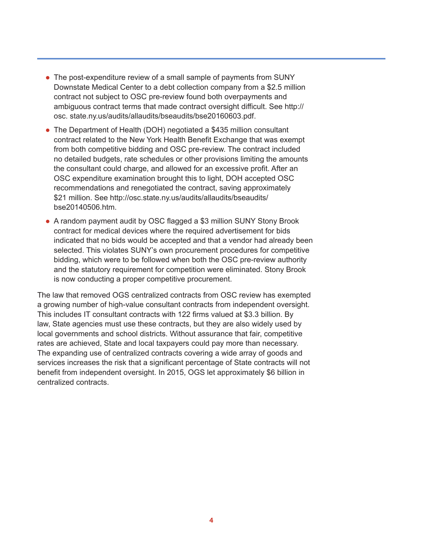- The post-expenditure review of a small sample of payments from SUNY Downstate Medical Center to a debt collection company from a \$2.5 million contract not subject to OSC pre-review found both overpayments and ambiguous contract terms that made contract oversight difficult. See http:// osc. state.ny.us/audits/allaudits/bseaudits/bse20160603.pdf.
- The Department of Health (DOH) negotiated a \$435 million consultant contract related to the New York Health Benefit Exchange that was exempt from both competitive bidding and OSC pre-review. The contract included no detailed budgets, rate schedules or other provisions limiting the amounts the consultant could charge, and allowed for an excessive profit. After an OSC expenditure examination brought this to light, DOH accepted OSC recommendations and renegotiated the contract, saving approximately \$21 million. See http://osc.state.ny.us/audits/allaudits/bseaudits/ bse20140506.htm.
- A random payment audit by OSC flagged a \$3 million SUNY Stony Brook contract for medical devices where the required advertisement for bids indicated that no bids would be accepted and that a vendor had already been selected. This violates SUNY's own procurement procedures for competitive bidding, which were to be followed when both the OSC pre-review authority and the statutory requirement for competition were eliminated. Stony Brook is now conducting a proper competitive procurement.

The law that removed OGS centralized contracts from OSC review has exempted a growing number of high-value consultant contracts from independent oversight. This includes IT consultant contracts with 122 firms valued at \$3.3 billion. By law, State agencies must use these contracts, but they are also widely used by local governments and school districts. Without assurance that fair, competitive rates are achieved, State and local taxpayers could pay more than necessary. The expanding use of centralized contracts covering a wide array of goods and services increases the risk that a significant percentage of State contracts will not benefit from independent oversight. In 2015, OGS let approximately \$6 billion in centralized contracts.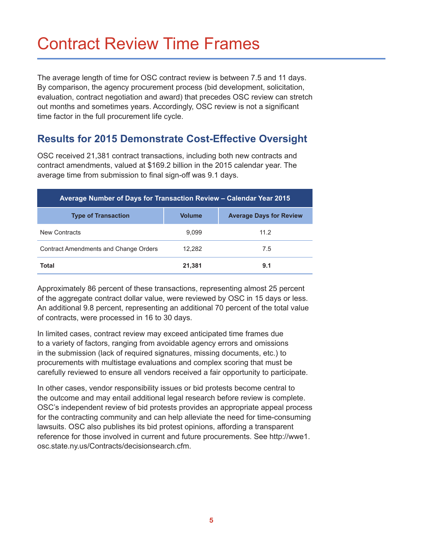## Contract Review Time Frames

The average length of time for OSC contract review is between 7.5 and 11 days. By comparison, the agency procurement process (bid development, solicitation, evaluation, contract negotiation and award) that precedes OSC review can stretch out months and sometimes years. Accordingly, OSC review is not a significant time factor in the full procurement life cycle.

#### **Results for 2015 Demonstrate Cost-Effective Oversight**

OSC received 21,381 contract transactions, including both new contracts and contract amendments, valued at \$169.2 billion in the 2015 calendar year. The average time from submission to final sign-off was 9.1 days.

| Average Number of Days for Transaction Review - Calendar Year 2015 |               |                                |  |  |  |  |  |
|--------------------------------------------------------------------|---------------|--------------------------------|--|--|--|--|--|
| <b>Type of Transaction</b>                                         | <b>Volume</b> | <b>Average Days for Review</b> |  |  |  |  |  |
| New Contracts                                                      | 9.099         | 11.2                           |  |  |  |  |  |
| Contract Amendments and Change Orders                              | 12.282        | 7.5                            |  |  |  |  |  |
| <b>Total</b>                                                       | 21,381        | 9.1                            |  |  |  |  |  |

Approximately 86 percent of these transactions, representing almost 25 percent of the aggregate contract dollar value, were reviewed by OSC in 15 days or less. An additional 9.8 percent, representing an additional 70 percent of the total value of contracts, were processed in 16 to 30 days.

In limited cases, contract review may exceed anticipated time frames due to a variety of factors, ranging from avoidable agency errors and omissions in the submission (lack of required signatures, missing documents, etc.) to procurements with multistage evaluations and complex scoring that must be carefully reviewed to ensure all vendors received a fair opportunity to participate.

In other cases, vendor responsibility issues or bid protests become central to the outcome and may entail additional legal research before review is complete. OSC's independent review of bid protests provides an appropriate appeal process for the contracting community and can help alleviate the need for time-consuming lawsuits. OSC also publishes its bid protest opinions, affording a transparent reference for those involved in current and future procurements. See http://wwe1. osc.state.ny.us/Contracts/decisionsearch.cfm.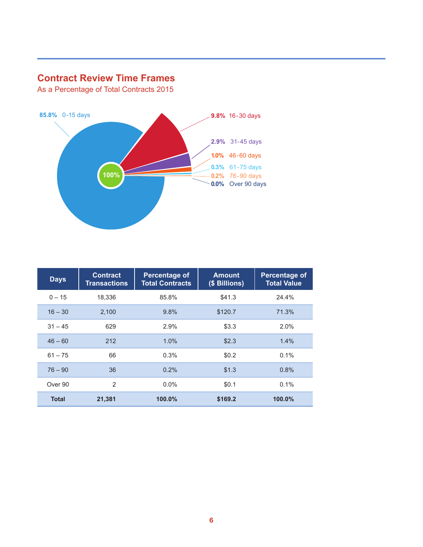#### **Contract Review Time Frames**

As a Percentage of Total Contracts 2015



| <b>Days</b>  | <b>Contract</b><br><b>Transactions</b> | <b>Percentage of</b><br><b>Total Contracts</b> | <b>Amount</b><br>(\$ Billions) | <b>Percentage of</b><br><b>Total Value</b> |
|--------------|----------------------------------------|------------------------------------------------|--------------------------------|--------------------------------------------|
| $0 - 15$     | 18,336                                 | 85.8%                                          | \$41.3                         | 24.4%                                      |
| $16 - 30$    | 2.100                                  | 9.8%                                           | \$120.7                        | 71.3%                                      |
| $31 - 45$    | 629                                    | 2.9%                                           | \$3.3                          | 2.0%                                       |
| $46 - 60$    | 212                                    | 1.0%                                           | \$2.3                          | 1.4%                                       |
| $61 - 75$    | 66                                     | 0.3%                                           | \$0.2                          | $0.1\%$                                    |
| $76 - 90$    | 36                                     | 0.2%                                           | \$1.3                          | 0.8%                                       |
| Over 90      | 2                                      | $0.0\%$                                        | \$0.1                          | 0.1%                                       |
| <b>Total</b> | 21,381                                 | 100.0%                                         | \$169.2                        | $100.0\%$                                  |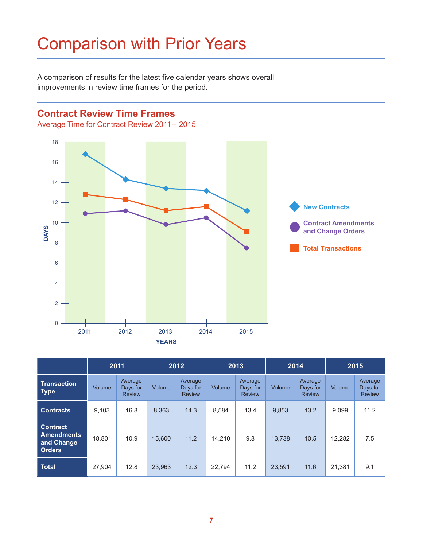# Comparison with Prior Years

A comparison of results for the latest five calendar years shows overall Improvements in review time frames for the period.

#### **Contract Review Time Frames**

Average Time for Contract Review 2011– 2015



 $\mathcal{A}_\text{max}$  and  $\mathcal{A}_\text{max}$  are contract  $\mathcal{A}_\text{max}$  . The view  $\mathcal{A}_\text{max}$ 

|                                                                     | 2011   |                                      | 2012   |                                      | 2013   |                                      | 2014   |                                      | 2015          |                                      |
|---------------------------------------------------------------------|--------|--------------------------------------|--------|--------------------------------------|--------|--------------------------------------|--------|--------------------------------------|---------------|--------------------------------------|
| <b>Transaction</b><br><b>Type</b>                                   | Volume | Average<br>Days for<br><b>Review</b> | Volume | Average<br>Days for<br><b>Review</b> | Volume | Average<br>Days for<br><b>Review</b> | Volume | Average<br>Days for<br><b>Review</b> | <b>Volume</b> | Average<br>Days for<br><b>Review</b> |
| <b>Contracts</b>                                                    | 9,103  | 16.8                                 | 8.363  | 14.3                                 | 8,584  | 13.4                                 | 9.853  | 13.2                                 | 9.099         | 11.2                                 |
| <b>Contract</b><br><b>Amendments</b><br>and Change<br><b>Orders</b> | 18.801 | 10.9                                 | 15.600 | 11.2                                 | 14,210 | 9.8                                  | 13,738 | 10.5                                 | 12.282        | 7.5                                  |
| <b>Total</b>                                                        | 27,904 | 12.8                                 | 23,963 | 12.3                                 | 22.794 | 11.2                                 | 23,591 | 11.6                                 | 21,381        | 9.1                                  |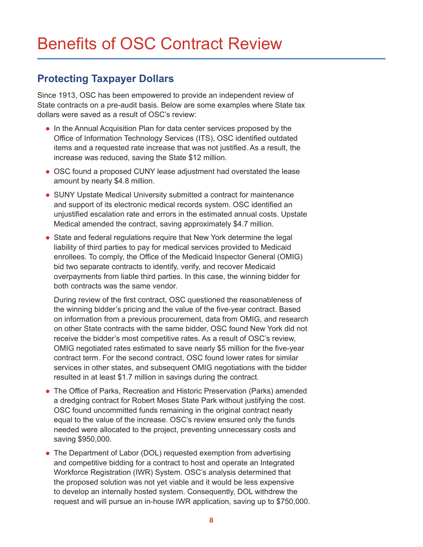#### **Protecting Taxpayer Dollars**

Since 1913, OSC has been empowered to provide an independent review of State contracts on a pre-audit basis. Below are some examples where State tax dollars were saved as a result of OSC's review:

- In the Annual Acquisition Plan for data center services proposed by the Office of Information Technology Services (ITS), OSC identified outdated items and a requested rate increase that was not justified. As a result, the increase was reduced, saving the State \$12 million.
- OSC found a proposed CUNY lease adjustment had overstated the lease amount by nearly \$4.8 million.
- SUNY Upstate Medical University submitted a contract for maintenance and support of its electronic medical records system. OSC identified an unjustified escalation rate and errors in the estimated annual costs. Upstate Medical amended the contract, saving approximately \$4.7 million.
- State and federal regulations require that New York determine the legal liability of third parties to pay for medical services provided to Medicaid enrollees. To comply, the Office of the Medicaid Inspector General (OMIG) bid two separate contracts to identify, verify, and recover Medicaid overpayments from liable third parties. In this case, the winning bidder for both contracts was the same vendor.

During review of the first contract, OSC questioned the reasonableness of the winning bidder's pricing and the value of the five-year contract. Based on information from a previous procurement, data from OMIG, and research on other State contracts with the same bidder, OSC found New York did not receive the bidder's most competitive rates. As a result of OSC's review, OMIG negotiated rates estimated to save nearly \$5 million for the five-year contract term. For the second contract, OSC found lower rates for similar services in other states, and subsequent OMIG negotiations with the bidder resulted in at least \$1.7 million in savings during the contract.

- The Office of Parks, Recreation and Historic Preservation (Parks) amended a dredging contract for Robert Moses State Park without justifying the cost. OSC found uncommitted funds remaining in the original contract nearly equal to the value of the increase. OSC's review ensured only the funds needed were allocated to the project, preventing unnecessary costs and saving \$950,000.
- The Department of Labor (DOL) requested exemption from advertising and competitive bidding for a contract to host and operate an Integrated Workforce Registration (IWR) System. OSC's analysis determined that the proposed solution was not yet viable and it would be less expensive to develop an internally hosted system. Consequently, DOL withdrew the request and will pursue an in-house IWR application, saving up to \$750,000.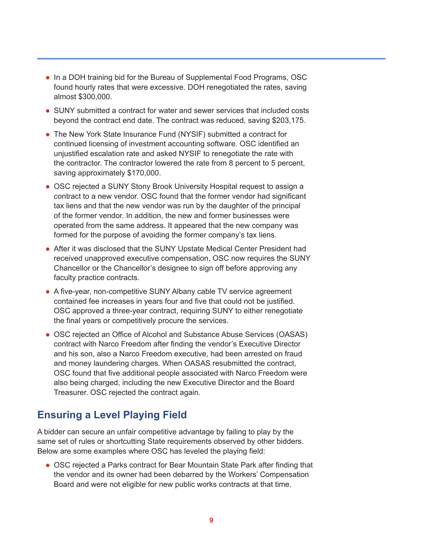- In a DOH training bid for the Bureau of Supplemental Food Programs, OSC found hourly rates that were excessive. DOH renegotiated the rates, saving almost \$300,000.
- SUNY submitted a contract for water and sewer services that included costs beyond the contract end date. The contract was reduced, saving \$203,175.
- The New York State Insurance Fund (NYSIF) submitted a contract for continued licensing of investment accounting software. OSC identified an unjustified escalation rate and asked NYSIF to renegotiate the rate with the contractor. The contractor lowered the rate from 8 percent to 5 percent, saving approximately \$170,000.
- OSC rejected a SUNY Stony Brook University Hospital request to assign a contract to a new vendor. OSC found that the former vendor had significant tax liens and that the new vendor was run by the daughter of the principal of the former vendor. In addition, the new and former businesses were operated from the same address. It appeared that the new company was formed for the purpose of avoiding the former company's tax liens.
- After it was disclosed that the SUNY Upstate Medical Center President had received unapproved executive compensation, OSC now requires the SUNY Chancellor or the Chancellor's designee to sign off before approving any faculty practice contracts.
- A five-year, non-competitive SUNY Albany cable TV service agreement contained fee increases in years four and five that could not be justified. OSC approved a three-year contract, requiring SUNY to either renegotiate the final years or competitively procure the services.
- OSC rejected an Office of Alcohol and Substance Abuse Services (OASAS) contract with Narco Freedom after finding the vendor's Executive Director and his son, also a Narco Freedom executive, had been arrested on fraud and money laundering charges. When OASAS resubmitted the contract, OSC found that five additional people associated with Narco Freedom were also being charged, including the new Executive Director and the Board Treasurer. OSC rejected the contract again.

#### **Ensuring a Level Playing Field**

A bidder can secure an unfair competitive advantage by failing to play by the same set of rules or shortcutting State requirements observed by other bidders. Below are some examples where OSC has leveled the playing field:

• OSC rejected a Parks contract for Bear Mountain State Park after finding that the vendor and its owner had been debarred by the Workers' Compensation Board and were not eligible for new public works contracts at that time.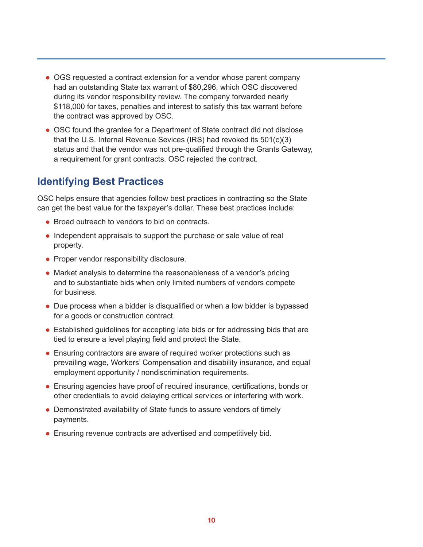- OGS requested a contract extension for a vendor whose parent company had an outstanding State tax warrant of \$80,296, which OSC discovered during its vendor responsibility review. The company forwarded nearly \$118,000 for taxes, penalties and interest to satisfy this tax warrant before the contract was approved by OSC.
- OSC found the grantee for a Department of State contract did not disclose that the U.S. Internal Revenue Sevices (IRS) had revoked its 501(c)(3) status and that the vendor was not pre-qualified through the Grants Gateway, a requirement for grant contracts. OSC rejected the contract.

#### **Identifying Best Practices**

OSC helps ensure that agencies follow best practices in contracting so the State can get the best value for the taxpayer's dollar. These best practices include:

- Broad outreach to vendors to bid on contracts.
- Independent appraisals to support the purchase or sale value of real property.
- **Proper vendor responsibility disclosure.**
- Market analysis to determine the reasonableness of a vendor's pricing and to substantiate bids when only limited numbers of vendors compete for business.
- Due process when a bidder is disqualified or when a low bidder is bypassed for a goods or construction contract.
- Established quidelines for accepting late bids or for addressing bids that are tied to ensure a level playing field and protect the State.
- Ensuring contractors are aware of required worker protections such as prevailing wage, Workers' Compensation and disability insurance, and equal employment opportunity / nondiscrimination requirements.
- **Ensuring agencies have proof of required insurance, certifications, bonds or** other credentials to avoid delaying critical services or interfering with work.
- Demonstrated availability of State funds to assure vendors of timely payments.
- Ensuring revenue contracts are advertised and competitively bid.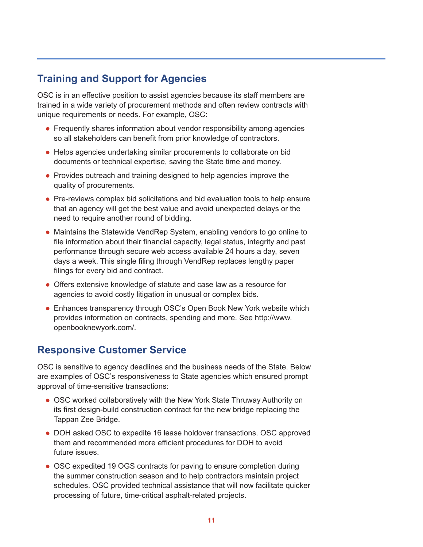#### **Training and Support for Agencies**

OSC is in an effective position to assist agencies because its staff members are trained in a wide variety of procurement methods and often review contracts with unique requirements or needs. For example, OSC:

- Frequently shares information about vendor responsibility among agencies so all stakeholders can benefit from prior knowledge of contractors.
- Helps agencies undertaking similar procurements to collaborate on bid documents or technical expertise, saving the State time and money.
- Provides outreach and training designed to help agencies improve the quality of procurements.
- Pre-reviews complex bid solicitations and bid evaluation tools to help ensure that an agency will get the best value and avoid unexpected delays or the need to require another round of bidding.
- Maintains the Statewide VendRep System, enabling vendors to go online to file information about their financial capacity, legal status, integrity and past performance through secure web access available 24 hours a day, seven days a week. This single filing through VendRep replaces lengthy paper filings for every bid and contract.
- **.** Offers extensive knowledge of statute and case law as a resource for agencies to avoid costly litigation in unusual or complex bids.
- Enhances transparency through OSC's Open Book New York website which provides information on contracts, spending and more. See http://www. openbooknewyork.com/.

#### **Responsive Customer Service**

OSC is sensitive to agency deadlines and the business needs of the State. Below are examples of OSC's responsiveness to State agencies which ensured prompt approval of time-sensitive transactions:

- OSC worked collaboratively with the New York State Thruway Authority on its first design-build construction contract for the new bridge replacing the Tappan Zee Bridge.
- DOH asked OSC to expedite 16 lease holdover transactions. OSC approved them and recommended more efficient procedures for DOH to avoid future issues.
- OSC expedited 19 OGS contracts for paving to ensure completion during the summer construction season and to help contractors maintain project schedules. OSC provided technical assistance that will now facilitate quicker processing of future, time-critical asphalt-related projects.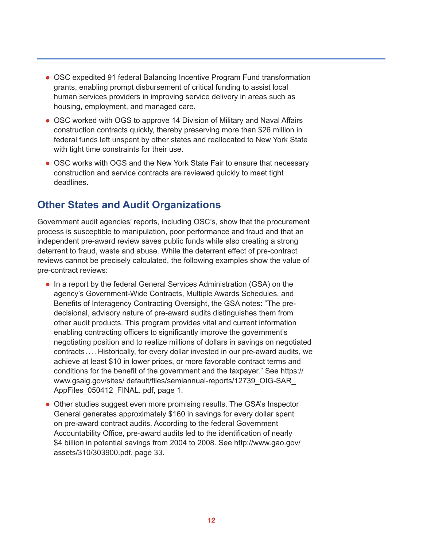- OSC expedited 91 federal Balancing Incentive Program Fund transformation grants, enabling prompt disbursement of critical funding to assist local human services providers in improving service delivery in areas such as housing, employment, and managed care.
- OSC worked with OGS to approve 14 Division of Military and Naval Affairs construction contracts quickly, thereby preserving more than \$26 million in federal funds left unspent by other states and reallocated to New York State with tight time constraints for their use.
- OSC works with OGS and the New York State Fair to ensure that necessary construction and service contracts are reviewed quickly to meet tight deadlines.

#### **Other States and Audit Organizations**

Government audit agencies' reports, including OSC's, show that the procurement process is susceptible to manipulation, poor performance and fraud and that an independent pre-award review saves public funds while also creating a strong deterrent to fraud, waste and abuse. While the deterrent effect of pre-contract reviews cannot be precisely calculated, the following examples show the value of pre-contract reviews:

- In a report by the federal General Services Administration (GSA) on the agency's Government-Wide Contracts, Multiple Awards Schedules, and Benefits of Interagency Contracting Oversight, the GSA notes: "The predecisional, advisory nature of pre-award audits distinguishes them from other audit products. This program provides vital and current information enabling contracting officers to significantly improve the government's negotiating position and to realize millions of dollars in savings on negotiated contracts....Historically, for every dollar invested in our pre-award audits, we achieve at least \$10 in lower prices, or more favorable contract terms and conditions for the benefit of the government and the taxpayer." See https:// www.gsaig.gov/sites/ default/files/semiannual-reports/12739\_OIG-SAR\_ AppFiles\_050412\_FINAL. pdf, page 1.
- Other studies suggest even more promising results. The GSA's Inspector General generates approximately \$160 in savings for every dollar spent on pre-award contract audits. According to the federal Government Accountability Office, pre-award audits led to the identification of nearly \$4 billion in potential savings from 2004 to 2008. See http://www.gao.gov/ assets/310/303900.pdf, page 33.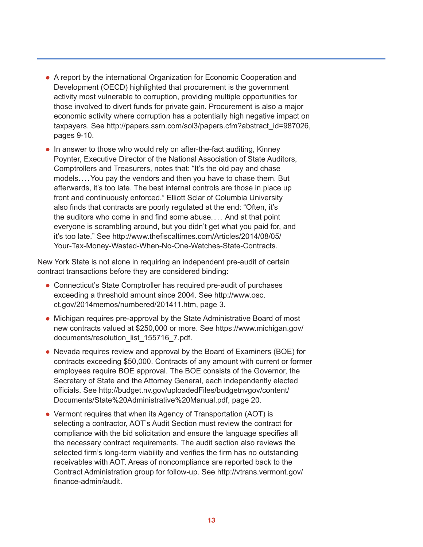- A report by the international Organization for Economic Cooperation and Development (OECD) highlighted that procurement is the government activity most vulnerable to corruption, providing multiple opportunities for those involved to divert funds for private gain. Procurement is also a major economic activity where corruption has a potentially high negative impact on taxpayers. See http://papers.ssrn.com/sol3/papers.cfm?abstract\_id=987026, pages 9-10.
- $\bullet$  In answer to those who would rely on after-the-fact auditing, Kinney Poynter, Executive Director of the National Association of State Auditors, Comptrollers and Treasurers, notes that: "It's the old pay and chase models....You pay the vendors and then you have to chase them. But afterwards, it's too late. The best internal controls are those in place up front and continuously enforced." Elliott Sclar of Columbia University also finds that contracts are poorly regulated at the end: "Often, it's the auditors who come in and find some abuse.... And at that point everyone is scrambling around, but you didn't get what you paid for, and it's too late." See http://www.thefiscaltimes.com/Articles/2014/08/05/ Your-Tax-Money-Wasted-When-No-One-Watches-State-Contracts.

New York State is not alone in requiring an independent pre-audit of certain contract transactions before they are considered binding:

- Connecticut's State Comptroller has required pre-audit of purchases exceeding a threshold amount since 2004. See http://www.osc. ct.gov/2014memos/numbered/201411.htm, page 3.
- Michigan requires pre-approval by the State Administrative Board of most new contracts valued at \$250,000 or more. See https://www.michigan.gov/ documents/resolution\_list\_155716\_7.pdf.
- Nevada requires review and approval by the Board of Examiners (BOE) for contracts exceeding \$50,000. Contracts of any amount with current or former employees require BOE approval. The BOE consists of the Governor, the Secretary of State and the Attorney General, each independently elected officials. See http://budget.nv.gov/uploadedFiles/budgetnvgov/content/ Documents/State%20Administrative%20Manual.pdf, page 20.
- Vermont requires that when its Agency of Transportation (AOT) is selecting a contractor, AOT's Audit Section must review the contract for compliance with the bid solicitation and ensure the language specifies all the necessary contract requirements. The audit section also reviews the selected firm's long-term viability and verifies the firm has no outstanding receivables with AOT. Areas of noncompliance are reported back to the Contract Administration group for follow-up. See http://vtrans.vermont.gov/ finance-admin/audit.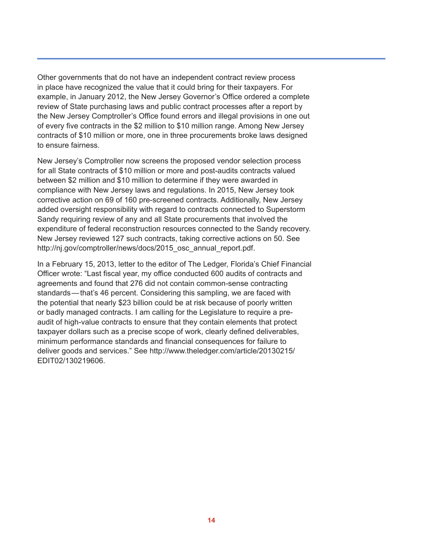Other governments that do not have an independent contract review process in place have recognized the value that it could bring for their taxpayers. For example, in January 2012, the New Jersey Governor's Office ordered a complete review of State purchasing laws and public contract processes after a report by the New Jersey Comptroller's Office found errors and illegal provisions in one out of every five contracts in the \$2 million to \$10 million range. Among New Jersey contracts of \$10 million or more, one in three procurements broke laws designed to ensure fairness.

New Jersey's Comptroller now screens the proposed vendor selection process for all State contracts of \$10 million or more and post-audits contracts valued between \$2 million and \$10 million to determine if they were awarded in compliance with New Jersey laws and regulations. In 2015, New Jersey took corrective action on 69 of 160 pre-screened contracts. Additionally, New Jersey added oversight responsibility with regard to contracts connected to Superstorm Sandy requiring review of any and all State procurements that involved the expenditure of federal reconstruction resources connected to the Sandy recovery. New Jersey reviewed 127 such contracts, taking corrective actions on 50. See http://nj.gov/comptroller/news/docs/2015\_osc\_annual\_report.pdf.

In a February 15, 2013, letter to the editor of The Ledger, Florida's Chief Financial Officer wrote: "Last fiscal year, my office conducted 600 audits of contracts and agreements and found that 276 did not contain common-sense contracting standards—that's 46 percent. Considering this sampling, we are faced with the potential that nearly \$23 billion could be at risk because of poorly written or badly managed contracts. I am calling for the Legislature to require a preaudit of high-value contracts to ensure that they contain elements that protect taxpayer dollars such as a precise scope of work, clearly defined deliverables, minimum performance standards and financial consequences for failure to deliver goods and services." See http://www.theledger.com/article/20130215/ EDIT02/130219606.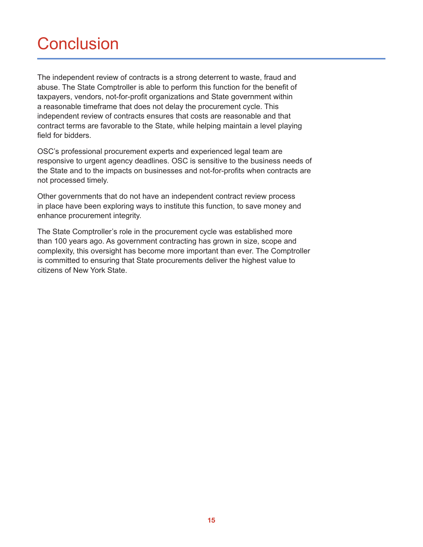# **Conclusion**

The independent review of contracts is a strong deterrent to waste, fraud and abuse. The State Comptroller is able to perform this function for the benefit of taxpayers, vendors, not-for-profit organizations and State government within a reasonable timeframe that does not delay the procurement cycle. This independent review of contracts ensures that costs are reasonable and that contract terms are favorable to the State, while helping maintain a level playing field for bidders.

OSC's professional procurement experts and experienced legal team are responsive to urgent agency deadlines. OSC is sensitive to the business needs of the State and to the impacts on businesses and not-for-profits when contracts are not processed timely.

Other governments that do not have an independent contract review process in place have been exploring ways to institute this function, to save money and enhance procurement integrity.

The State Comptroller's role in the procurement cycle was established more than 100 years ago. As government contracting has grown in size, scope and complexity, this oversight has become more important than ever. The Comptroller is committed to ensuring that State procurements deliver the highest value to citizens of New York State.